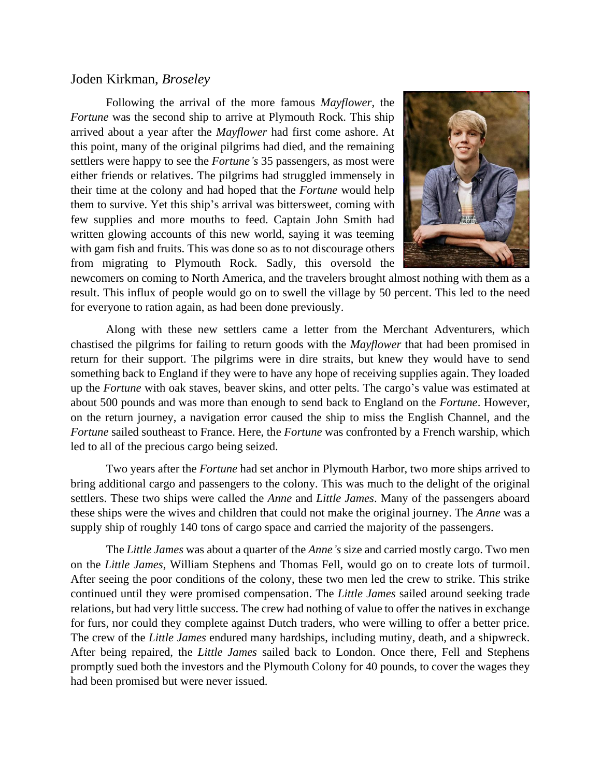## Joden Kirkman, *Broseley*

Following the arrival of the more famous *Mayflower*, the *Fortune* was the second ship to arrive at Plymouth Rock. This ship arrived about a year after the *Mayflower* had first come ashore. At this point, many of the original pilgrims had died, and the remaining settlers were happy to see the *Fortune's* 35 passengers, as most were either friends or relatives. The pilgrims had struggled immensely in their time at the colony and had hoped that the *Fortune* would help them to survive. Yet this ship's arrival was bittersweet, coming with few supplies and more mouths to feed. Captain John Smith had written glowing accounts of this new world, saying it was teeming with gam fish and fruits. This was done so as to not discourage others from migrating to Plymouth Rock. Sadly, this oversold the



newcomers on coming to North America, and the travelers brought almost nothing with them as a result. This influx of people would go on to swell the village by 50 percent. This led to the need for everyone to ration again, as had been done previously.

Along with these new settlers came a letter from the Merchant Adventurers, which chastised the pilgrims for failing to return goods with the *Mayflower* that had been promised in return for their support. The pilgrims were in dire straits, but knew they would have to send something back to England if they were to have any hope of receiving supplies again. They loaded up the *Fortune* with oak staves, beaver skins, and otter pelts. The cargo's value was estimated at about 500 pounds and was more than enough to send back to England on the *Fortune*. However, on the return journey, a navigation error caused the ship to miss the English Channel, and the *Fortune* sailed southeast to France. Here, the *Fortune* was confronted by a French warship, which led to all of the precious cargo being seized.

Two years after the *Fortune* had set anchor in Plymouth Harbor, two more ships arrived to bring additional cargo and passengers to the colony. This was much to the delight of the original settlers. These two ships were called the *Anne* and *Little James*. Many of the passengers aboard these ships were the wives and children that could not make the original journey. The *Anne* was a supply ship of roughly 140 tons of cargo space and carried the majority of the passengers.

The *Little James* was about a quarter of the *Anne's* size and carried mostly cargo. Two men on the *Little James*, William Stephens and Thomas Fell, would go on to create lots of turmoil. After seeing the poor conditions of the colony, these two men led the crew to strike. This strike continued until they were promised compensation. The *Little James* sailed around seeking trade relations, but had very little success. The crew had nothing of value to offer the natives in exchange for furs, nor could they complete against Dutch traders, who were willing to offer a better price. The crew of the *Little James* endured many hardships, including mutiny, death, and a shipwreck. After being repaired, the *Little James* sailed back to London. Once there, Fell and Stephens promptly sued both the investors and the Plymouth Colony for 40 pounds, to cover the wages they had been promised but were never issued.